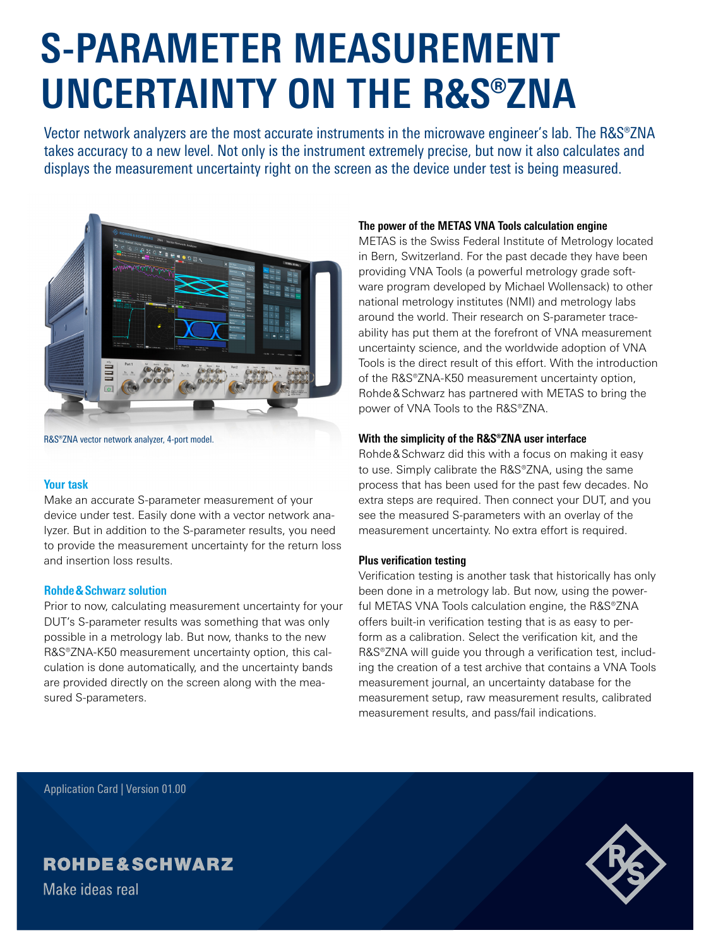# **S-PARAMETER MEASUREMENT UNCERTAINTY ON THE R&S®ZNA**

Vector network analyzers are the most accurate instruments in the microwave engineer's lab. The R&S®ZNA takes accuracy to a new level. Not only is the instrument extremely precise, but now it also calculates and displays the measurement uncertainty right on the screen as the device under test is being measured.



R&S®ZNA vector network analyzer, 4-port model.

### **Your task**

Make an accurate S-parameter measurement of your device under test. Easily done with a vector network analyzer. But in addition to the S-parameter results, you need to provide the measurement uncertainty for the return loss and insertion loss results.

#### **Rohde&Schwarz solution**

Prior to now, calculating measurement uncertainty for your DUT's S-parameter results was something that was only possible in a metrology lab. But now, thanks to the new R&S®ZNA-K50 measurement uncertainty option, this calculation is done automatically, and the uncertainty bands are provided directly on the screen along with the measured S-parameters.

#### **The power of the METAS VNA Tools calculation engine**

METAS is the Swiss Federal Institute of Metrology located in Bern, Switzerland. For the past decade they have been providing VNA Tools (a powerful metrology grade software program developed by Michael Wollensack) to other national metrology institutes (NMI) and metrology labs around the world. Their research on S-parameter traceability has put them at the forefront of VNA measurement uncertainty science, and the worldwide adoption of VNA Tools is the direct result of this effort. With the introduction of the R&S®ZNA-K50 measurement uncertainty option, Rohde&Schwarz has partnered with METAS to bring the power of VNA Tools to the R&S®ZNA.

#### **With the simplicity of the R&S®ZNA user interface**

Rohde&Schwarz did this with a focus on making it easy to use. Simply calibrate the R&S®ZNA, using the same process that has been used for the past few decades. No extra steps are required. Then connect your DUT, and you see the measured S-parameters with an overlay of the measurement uncertainty. No extra effort is required.

#### **Plus verification testing**

Verification testing is another task that historically has only been done in a metrology lab. But now, using the powerful METAS VNA Tools calculation engine, the R&S®ZNA offers built-in verification testing that is as easy to perform as a calibration. Select the verification kit, and the R&S®ZNA will guide you through a verification test, including the creation of a test archive that contains a VNA Tools measurement journal, an uncertainty database for the measurement setup, raw measurement results, calibrated measurement results, and pass/fail indications.

Application Card | Version 01.00

## **ROHDE&SCHWARZ**

Make ideas real